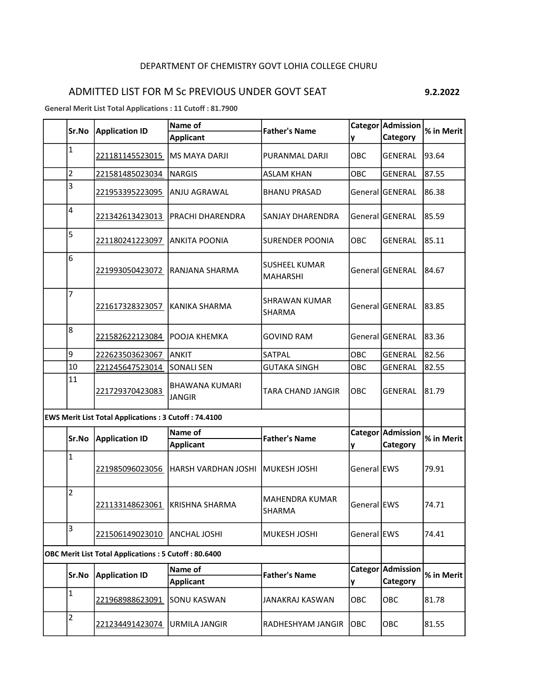## DEPARTMENT OF CHEMISTRY GOVT LOHIA COLLEGE CHURU

## ADMITTED LIST FOR M Sc PREVIOUS UNDER GOVT SEAT 9.2.2022

General Merit List Total Applications : 11 Cutoff : 81.7900

|  | Sr.No                                                       | <b>Application ID</b>                                       | Name of                                | <b>Father's Name</b>                    |             | Categor Admission             | % in Merit |
|--|-------------------------------------------------------------|-------------------------------------------------------------|----------------------------------------|-----------------------------------------|-------------|-------------------------------|------------|
|  |                                                             |                                                             | <b>Applicant</b>                       |                                         | y           | Category                      |            |
|  | $\mathbf{1}$                                                | 221181145523015                                             | <b>MS MAYA DARJI</b>                   | PURANMAL DARJI                          | ОВС         | <b>GENERAL</b>                | 93.64      |
|  | 2                                                           | 221581485023034                                             | <b>NARGIS</b>                          | <b>ASLAM KHAN</b>                       | OBC         | <b>GENERAL</b>                | 87.55      |
|  | 3                                                           | 221953395223095                                             | <b>ANJU AGRAWAL</b>                    | <b>BHANU PRASAD</b>                     |             | General GENERAL               | 86.38      |
|  | 4                                                           | 221342613423013                                             | <b>PRACHI DHARENDRA</b>                | SANJAY DHARENDRA                        |             | General GENERAL               | 85.59      |
|  | 5                                                           | 221180241223097                                             | <b>ANKITA POONIA</b>                   | <b>SURENDER POONIA</b>                  | OBC         | <b>GENERAL</b>                | 85.11      |
|  | 6                                                           | 221993050423072                                             | RANJANA SHARMA                         | <b>SUSHEEL KUMAR</b><br><b>MAHARSHI</b> |             | General GENERAL               | 84.67      |
|  | 7                                                           | 221617328323057                                             | <b>KANIKA SHARMA</b>                   | <b>SHRAWAN KUMAR</b><br>SHARMA          |             | General GENERAL               | 83.85      |
|  | 8                                                           | 221582622123084                                             | POOJA KHEMKA                           | <b>GOVIND RAM</b>                       |             | General GENERAL               | 83.36      |
|  | 9                                                           | 222623503623067                                             | <b>ANKIT</b>                           | SATPAL                                  | OBC         | <b>GENERAL</b>                | 82.56      |
|  | 10                                                          | 221245647523014                                             | <b>SONALI SEN</b>                      | <b>GUTAKA SINGH</b>                     | OBC         | <b>GENERAL</b>                | 82.55      |
|  | 11                                                          | 221729370423083                                             | <b>BHAWANA KUMARI</b><br><b>JANGIR</b> | <b>TARA CHAND JANGIR</b>                | OBC         | GENERAL                       | 81.79      |
|  | <b>EWS Merit List Total Applications: 3 Cutoff: 74.4100</b> |                                                             |                                        |                                         |             |                               |            |
|  | Sr.No                                                       |                                                             | Name of                                | <b>Father's Name</b>                    |             | Categor Admission             | % in Merit |
|  |                                                             | <b>Application ID</b>                                       | <b>Applicant</b>                       |                                         | y           | Category                      |            |
|  | $\mathbf{1}$                                                | 221985096023056                                             | HARSH VARDHAN JOSHI                    | MUKESH JOSHI                            | General EWS |                               | 79.91      |
|  | 2                                                           | 221133148623061                                             | <b>KRISHNA SHARMA</b>                  | <b>MAHENDRA KUMAR</b><br><b>SHARMA</b>  | General EWS |                               | 74.71      |
|  | 3                                                           | 221506149023010                                             | <b>ANCHAL JOSHI</b>                    | MUKESH JOSHI                            | General EWS |                               | 74.41      |
|  |                                                             | <b>OBC Merit List Total Applications: 5 Cutoff: 80.6400</b> |                                        |                                         |             |                               |            |
|  | Sr.No                                                       | <b>Application ID</b>                                       | Name of<br><b>Applicant</b>            | <b>Father's Name</b>                    | y           | Categor Admission<br>Category | % in Merit |
|  | $\mathbf 1$                                                 | 221968988623091                                             | <b>SONU KASWAN</b>                     | <b>JANAKRAJ KASWAN</b>                  | OBC         | OBC                           | 81.78      |
|  | $\overline{\mathbf{c}}$                                     | 221234491423074                                             | <b>URMILA JANGIR</b>                   | RADHESHYAM JANGIR                       | lobc        | OBC                           | 81.55      |